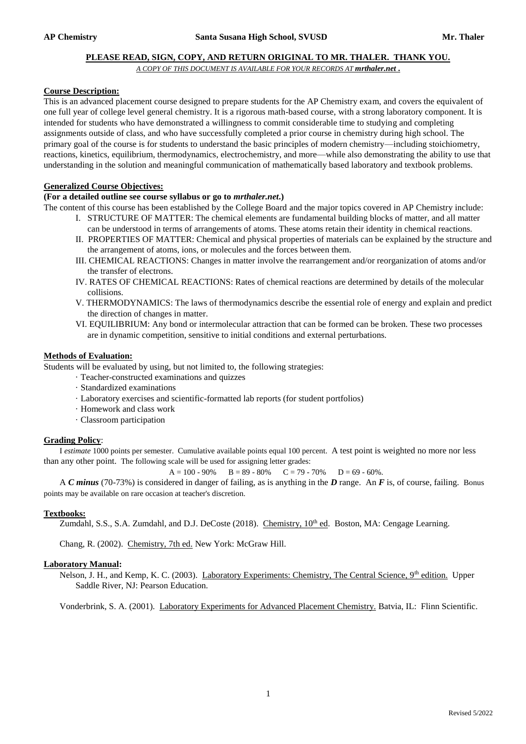#### **PLEASE READ, SIGN, COPY, AND RETURN ORIGINAL TO MR. THALER. THANK YOU.**

*A COPY OF THIS DOCUMENT IS AVAILABLE FOR YOUR RECORDS AT mrthaler.net* **.**

# **Course Description:**

This is an advanced placement course designed to prepare students for the AP Chemistry exam, and covers the equivalent of one full year of college level general chemistry. It is a rigorous math-based course, with a strong laboratory component. It is intended for students who have demonstrated a willingness to commit considerable time to studying and completing assignments outside of class, and who have successfully completed a prior course in chemistry during high school. The primary goal of the course is for students to understand the basic principles of modern chemistry—including stoichiometry, reactions, kinetics, equilibrium, thermodynamics, electrochemistry, and more—while also demonstrating the ability to use that understanding in the solution and meaningful communication of mathematically based laboratory and textbook problems.

# **Generalized Course Objectives:**

# **(For a detailed outline see course syllabus or go to** *mrthaler.net***.)**

The content of this course has been established by the College Board and the major topics covered in AP Chemistry include:

- I. STRUCTURE OF MATTER: The chemical elements are fundamental building blocks of matter, and all matter can be understood in terms of arrangements of atoms. These atoms retain their identity in chemical reactions.
- II. PROPERTIES OF MATTER: Chemical and physical properties of materials can be explained by the structure and the arrangement of atoms, ions, or molecules and the forces between them.
- III. CHEMICAL REACTIONS: Changes in matter involve the rearrangement and/or reorganization of atoms and/or the transfer of electrons.
- IV. RATES OF CHEMICAL REACTIONS: Rates of chemical reactions are determined by details of the molecular collisions.
- V. THERMODYNAMICS: The laws of thermodynamics describe the essential role of energy and explain and predict the direction of changes in matter.
- VI. EQUILIBRIUM: Any bond or intermolecular attraction that can be formed can be broken. These two processes are in dynamic competition, sensitive to initial conditions and external perturbations.

#### **Methods of Evaluation:**

Students will be evaluated by using, but not limited to, the following strategies:

- · Teacher-constructed examinations and quizzes
- · Standardized examinations
- · Laboratory exercises and scientific-formatted lab reports (for student portfolios)
- · Homework and class work
- · Classroom participation

# **Grading Policy**:

I *estimate* 1000 points per semester. Cumulative available points equal 100 percent. A test point is weighted no more nor less than any other point. The following scale will be used for assigning letter grades:

 $A = 100 - 90\%$  B = 89 - 80% C = 79 - 70% D = 69 - 60%.

A *C minus* (70-73%) is considered in danger of failing, as is anything in the *D* range. An *F* is, of course, failing. Bonus points may be available on rare occasion at teacher's discretion.

# **Textbooks:**

Zumdahl, S.S., S.A. Zumdahl, and D.J. DeCoste (2018). Chemistry, 10<sup>th</sup> ed. Boston, MA: Cengage Learning.

Chang, R. (2002). Chemistry, 7th ed. New York: McGraw Hill.

# **Laboratory Manual:**

Nelson, J. H., and Kemp, K. C. (2003). Laboratory Experiments: Chemistry, The Central Science, 9<sup>th</sup> edition. Upper Saddle River, NJ: Pearson Education.

Vonderbrink, S. A. (2001). Laboratory Experiments for Advanced Placement Chemistry. Batvia, IL: Flinn Scientific.